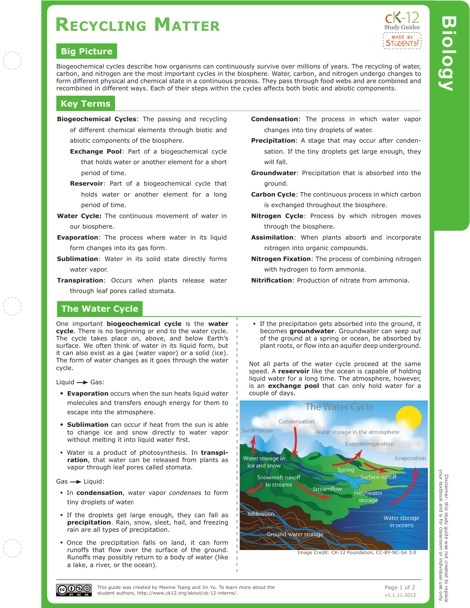# **Recycling Matter**

### **Big Picture**

Study Guides MADE BY **STÜDENTS!** 

Biogeochemical cycles describe how organisms can continuously survive over millions of years. The recycling of water, carbon, and nitrogen are the most important cycles in the biosphere. Water, carbon, and nitrogen undergo changes to form different physical and chemical state in a continuous process. They pass through food webs and are combined and recombined in different ways. Each of their steps within the cycles affects both biotic and abiotic components.

### **Key Terms**

- **Biogeochemical Cycles**: The passing and recycling of different chemical elements through biotic and abiotic components of the biosphere.
	- **Exchange Pool**: Part of a biogeochemical cycle that holds water or another element for a short period of time.
	- **Reservoir**: Part of a biogeochemical cycle that holds water or another element for a long period of time.
- **Water Cycle:** The continuous movement of water in our biosphere.
- **Evaporation**: The process where water in its liquid form changes into its gas form.
- **Sublimation**: Water in its solid state directly forms water vapor.
- **Transpiration**: Occurs when plants release water through leaf pores called stomata.

### **The Water Cycle**

One important **biogeochemical cycle** is the **water cycle**. There is no beginning or end to the water cycle. The cycle takes place on, above, and below Earth's surface. We often think of water in its liquid form, but it can also exist as a gas (water vapor) or a solid (ice). The form of water changes as it goes through the water cycle.

Liquid  $\rightarrow$  Gas:

- **Evaporation** occurs when the sun heats liquid water molecules and transfers enough energy for them to escape into the atmosphere.
- **Sublimation** can occur if heat from the sun is able to change ice and snow directly to water vapor without melting it into liquid water first.
- Water is a product of photosynthesis. In **transpiration**, that water can be released from plants as vapor through leaf pores called stomata.

 $Gas \rightarrow Liquid$ :

- In **condensation**, water vapor *condenses* to form tiny droplets of water.
- If the droplets get large enough, they can fall as **precipitation**. Rain, snow, sleet, hail, and freezing rain are all types of precipitation.
- Once the precipitation falls on land, it can form runoffs that flow over the surface of the ground. Runoffs may possibly return to a body of water (like a lake, a river, or the ocean).
- **Condensation**: The process in which water vapor changes into tiny droplets of water.
- **Precipitation**: A stage that may occur after condensation. If the tiny droplets get large enough, they will fall.
- **Groundwater**: Precipitation that is absorbed into the ground.
- **Carbon Cycle**: The continuous process in which carbon is exchanged throughout the biosphere.
- **Nitrogen Cycle: Process by which nitrogen moves** through the biosphere.
- **Assimilation**: When plants absorb and incorporate nitrogen into organic compounds.
- **Nitrogen Fixation**: The process of combining nitrogen with hydrogen to form ammonia.
- **Nitrification**: Production of nitrate from ammonia.
- If the precipitation gets absorbed into the ground, it becomes **groundwater**. Groundwater can seep out of the ground at a spring or ocean, be absorbed by plant roots, or flow into an aquifer deep underground.

Not all parts of the water cycle proceed at the same speed. A **reservoir** like the ocean is capable of holding liquid water for a long time. The atmosphere, however, is an **exchange pool** that can only hold water for a couple of days.